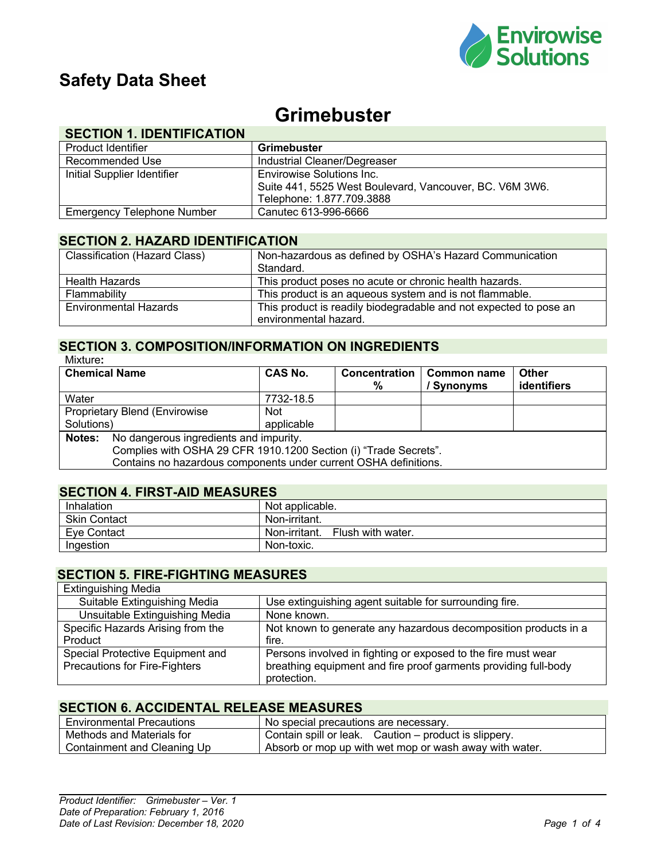

## **Safety Data Sheet**

# **Grimebuster**

## **SECTION 1. IDENTIFICATION**

| Product Identifier                | <b>Grimebuster</b>                                      |
|-----------------------------------|---------------------------------------------------------|
| Recommended Use                   | Industrial Cleaner/Degreaser                            |
| Initial Supplier Identifier       | Envirowise Solutions Inc.                               |
|                                   | Suite 441, 5525 West Boulevard, Vancouver, BC. V6M 3W6. |
|                                   | Telephone: 1.877.709.3888                               |
| <b>Emergency Telephone Number</b> | Canutec 613-996-6666                                    |

## **SECTION 2. HAZARD IDENTIFICATION**

| <b>Classification (Hazard Class)</b> | Non-hazardous as defined by OSHA's Hazard Communication<br>Standard.                       |
|--------------------------------------|--------------------------------------------------------------------------------------------|
| <b>Health Hazards</b>                | This product poses no acute or chronic health hazards.                                     |
| Flammability                         | This product is an aqueous system and is not flammable.                                    |
| <b>Environmental Hazards</b>         | This product is readily biodegradable and not expected to pose an<br>environmental hazard. |

#### **SECTION 3. COMPOSITION/INFORMATION ON INGREDIENTS** Mixture**:**

| <b>Chemical Name</b>                                             |                                                                  | CAS No.    | <b>Concentration</b><br>% | <b>Common name</b><br>/ Synonyms | <b>Other</b><br>identifiers |
|------------------------------------------------------------------|------------------------------------------------------------------|------------|---------------------------|----------------------------------|-----------------------------|
| Water                                                            |                                                                  | 7732-18.5  |                           |                                  |                             |
|                                                                  | <b>Proprietary Blend (Envirowise</b>                             | <b>Not</b> |                           |                                  |                             |
| Solutions)                                                       |                                                                  | applicable |                           |                                  |                             |
| Notes:                                                           | No dangerous ingredients and impurity.                           |            |                           |                                  |                             |
| Complies with OSHA 29 CFR 1910.1200 Section (i) "Trade Secrets". |                                                                  |            |                           |                                  |                             |
|                                                                  | Contains no hazardous components under current OSHA definitions. |            |                           |                                  |                             |
|                                                                  |                                                                  |            |                           |                                  |                             |

### **SECTION 4. FIRST-AID MEASURES**

| Inhalation          | Not applicable.                    |
|---------------------|------------------------------------|
| <b>Skin Contact</b> | Non-irritant.                      |
| Eve Contact         | Non-irritant.<br>Flush with water. |
| Ingestion           | Non-toxic.                         |

## **SECTION 5. FIRE-FIGHTING MEASURES**

| <b>Extinguishing Media</b>        |                                                                 |
|-----------------------------------|-----------------------------------------------------------------|
| Suitable Extinguishing Media      | Use extinguishing agent suitable for surrounding fire.          |
| Unsuitable Extinguishing Media    | None known.                                                     |
| Specific Hazards Arising from the | Not known to generate any hazardous decomposition products in a |
| Product                           | fire.                                                           |
| Special Protective Equipment and  | Persons involved in fighting or exposed to the fire must wear   |
| Precautions for Fire-Fighters     | breathing equipment and fire proof garments providing full-body |
|                                   | protection.                                                     |

## **SECTION 6. ACCIDENTAL RELEASE MEASURES**

| <b>Environmental Precautions</b> | No special precautions are necessary.                  |
|----------------------------------|--------------------------------------------------------|
| Methods and Materials for        | Contain spill or leak. Caution – product is slippery.  |
| Containment and Cleaning Up      | Absorb or mop up with wet mop or wash away with water. |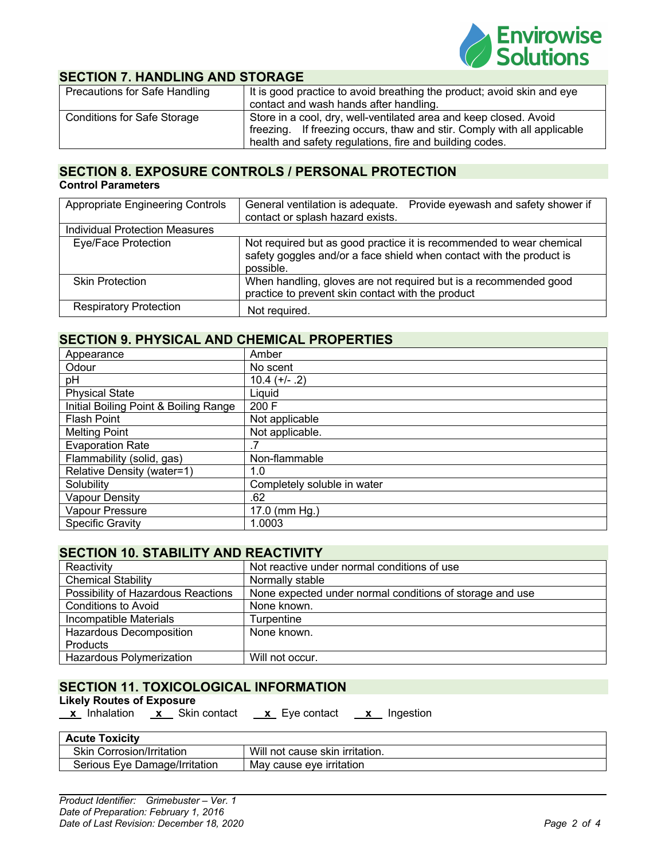

### **SECTION 7. HANDLING AND STORAGE**

| Precautions for Safe Handling      | It is good practice to avoid breathing the product; avoid skin and eye<br>contact and wash hands after handling.                                                                                        |
|------------------------------------|---------------------------------------------------------------------------------------------------------------------------------------------------------------------------------------------------------|
| <b>Conditions for Safe Storage</b> | Store in a cool, dry, well-ventilated area and keep closed. Avoid<br>freezing. If freezing occurs, thaw and stir. Comply with all applicable<br>health and safety regulations, fire and building codes. |

## **SECTION 8. EXPOSURE CONTROLS / PERSONAL PROTECTION**

#### **Control Parameters**

| <b>Appropriate Engineering Controls</b> | Provide eyewash and safety shower if<br>General ventilation is adequate.<br>contact or splash hazard exists.                                              |
|-----------------------------------------|-----------------------------------------------------------------------------------------------------------------------------------------------------------|
| <b>Individual Protection Measures</b>   |                                                                                                                                                           |
| Eye/Face Protection                     | Not required but as good practice it is recommended to wear chemical<br>safety goggles and/or a face shield when contact with the product is<br>possible. |
| <b>Skin Protection</b>                  | When handling, gloves are not required but is a recommended good<br>practice to prevent skin contact with the product                                     |
| <b>Respiratory Protection</b>           | Not required.                                                                                                                                             |

## **SECTION 9. PHYSICAL AND CHEMICAL PROPERTIES**

| Appearance                            | Amber                       |
|---------------------------------------|-----------------------------|
| Odour                                 | No scent                    |
| рH                                    | $10.4 (+/- .2)$             |
| <b>Physical State</b>                 | Liquid                      |
| Initial Boiling Point & Boiling Range | 200 F                       |
| <b>Flash Point</b>                    | Not applicable              |
| <b>Melting Point</b>                  | Not applicable.             |
| <b>Evaporation Rate</b>               |                             |
| Flammability (solid, gas)             | Non-flammable               |
| Relative Density (water=1)            | 1.0                         |
| Solubility                            | Completely soluble in water |
| <b>Vapour Density</b>                 | .62                         |
| Vapour Pressure                       | 17.0 (mm Hg.)               |
| <b>Specific Gravity</b>               | 1.0003                      |

#### **SECTION 10. STABILITY AND REACTIVITY**

| Reactivity                         | Not reactive under normal conditions of use              |
|------------------------------------|----------------------------------------------------------|
| <b>Chemical Stability</b>          | Normally stable                                          |
| Possibility of Hazardous Reactions | None expected under normal conditions of storage and use |
| Conditions to Avoid                | None known.                                              |
| Incompatible Materials             | Turpentine                                               |
| <b>Hazardous Decomposition</b>     | None known.                                              |
| Products                           |                                                          |
| <b>Hazardous Polymerization</b>    | Will not occur.                                          |

#### **SECTION 11. TOXICOLOGICAL INFORMATION**

#### **Likely Routes of Exposure**

 **x** Inhalation **x** Skin contact **x** Eye contact **x** Ingestion

| <b>Acute Toxicity</b>            |                                 |
|----------------------------------|---------------------------------|
| <b>Skin Corrosion/Irritation</b> | Will not cause skin irritation. |
| Serious Eve Damage/Irritation    | May cause eve irritation        |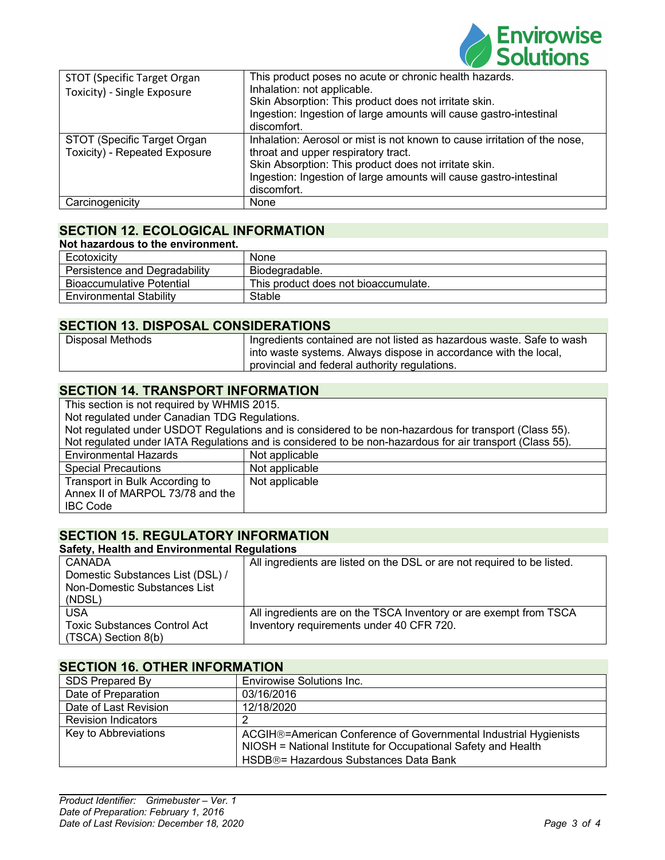

| <b>STOT (Specific Target Organ</b><br>Toxicity) - Single Exposure | This product poses no acute or chronic health hazards.<br>Inhalation: not applicable.<br>Skin Absorption: This product does not irritate skin.<br>Ingestion: Ingestion of large amounts will cause gastro-intestinal<br>discomfort.                            |
|-------------------------------------------------------------------|----------------------------------------------------------------------------------------------------------------------------------------------------------------------------------------------------------------------------------------------------------------|
| STOT (Specific Target Organ<br>Toxicity) - Repeated Exposure      | Inhalation: Aerosol or mist is not known to cause irritation of the nose,<br>throat and upper respiratory tract.<br>Skin Absorption: This product does not irritate skin.<br>Ingestion: Ingestion of large amounts will cause gastro-intestinal<br>discomfort. |
| Carcinogenicity                                                   | None                                                                                                                                                                                                                                                           |

## **SECTION 12. ECOLOGICAL INFORMATION**

| Not hazardous to the environment. |                                      |
|-----------------------------------|--------------------------------------|
| Ecotoxicity                       | None                                 |
| Persistence and Degradability     | Biodegradable.                       |
| <b>Bioaccumulative Potential</b>  | This product does not bioaccumulate. |
| <b>Environmental Stability</b>    | Stable                               |

#### **SECTION 13. DISPOSAL CONSIDERATIONS**

| <b>Disposal Methods</b> | Ingredients contained are not listed as hazardous waste. Safe to wash |
|-------------------------|-----------------------------------------------------------------------|
|                         | j into waste systems. Always dispose in accordance with the local,    |
|                         | provincial and federal authority regulations.                         |

#### **SECTION 14. TRANSPORT INFORMATION**

This section is not required by WHMIS 2015. Not regulated under Canadian TDG Regulations. Not regulated under USDOT Regulations and is considered to be non-hazardous for transport (Class 55). Not regulated under IATA Regulations and is considered to be non-hazardous for air transport (Class 55). Environmental Hazards Not applicable Special Precautions Not applicable Transport in Bulk According to Annex II of MARPOL 73/78 and the IBC Code Not applicable

## **SECTION 15. REGULATORY INFORMATION**

| <b>Safety, Health and Environmental Regulations</b> |                                                                         |  |
|-----------------------------------------------------|-------------------------------------------------------------------------|--|
| CANADA                                              | All ingredients are listed on the DSL or are not required to be listed. |  |
| Domestic Substances List (DSL) /                    |                                                                         |  |
| Non-Domestic Substances List                        |                                                                         |  |
| (NDSL)                                              |                                                                         |  |
| <b>USA</b>                                          | All ingredients are on the TSCA Inventory or are exempt from TSCA       |  |
| <b>Toxic Substances Control Act</b>                 | Inventory requirements under 40 CFR 720.                                |  |
| $(TSCA)$ Section $8(b)$                             |                                                                         |  |

#### **SECTION 16. OTHER INFORMATION**

| SDS Prepared By            | Envirowise Solutions Inc.                                                                                                                                                  |
|----------------------------|----------------------------------------------------------------------------------------------------------------------------------------------------------------------------|
| Date of Preparation        | 03/16/2016                                                                                                                                                                 |
| Date of Last Revision      | 12/18/2020                                                                                                                                                                 |
| <b>Revision Indicators</b> |                                                                                                                                                                            |
| Key to Abbreviations       | ACGIH®=American Conference of Governmental Industrial Hygienists<br>NIOSH = National Institute for Occupational Safety and Health<br>HSDB®= Hazardous Substances Data Bank |
|                            |                                                                                                                                                                            |